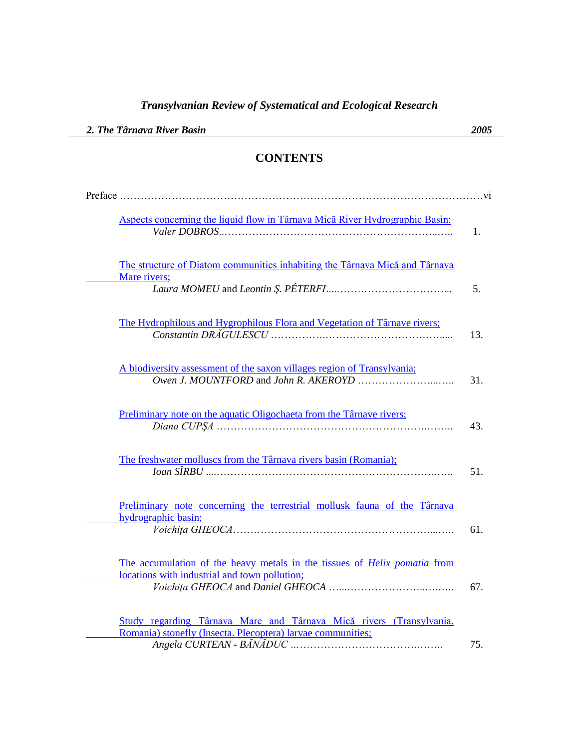| 2. The Târnava River Basin                                                                                                         | 2005 |
|------------------------------------------------------------------------------------------------------------------------------------|------|
| <b>CONTENTS</b>                                                                                                                    |      |
|                                                                                                                                    |      |
| Aspects concerning the liquid flow in Târnava Mică River Hydrographic Basin;                                                       | 1.   |
| The structure of Diatom communities inhabiting the Târnava Mică and Târnava<br>Mare rivers;                                        | 5.   |
| The Hydrophilous and Hygrophilous Flora and Vegetation of Târnave rivers;                                                          | 13.  |
| A biodiversity assessment of the saxon villages region of Transylvania;                                                            | 31.  |
| Preliminary note on the aquatic Oligochaeta from the Târnave rivers;                                                               | 43.  |
| The freshwater molluscs from the Târnava rivers basin (Romania);                                                                   | 51.  |
| Preliminary note concerning the terrestrial mollusk fauna of the Târnava<br>hydrographic basin;                                    | 61.  |
| The accumulation of the heavy metals in the tissues of <i>Helix pomatia</i> from<br>locations with industrial and town pollution;  | 67.  |
| Study regarding Târnava Mare and Târnava Mică rivers (Transylvania,<br>Romania) stonefly (Insecta. Plecoptera) larvae communities; | 75.  |

## *Transylvanian Review of Systematical and Ecological Research*